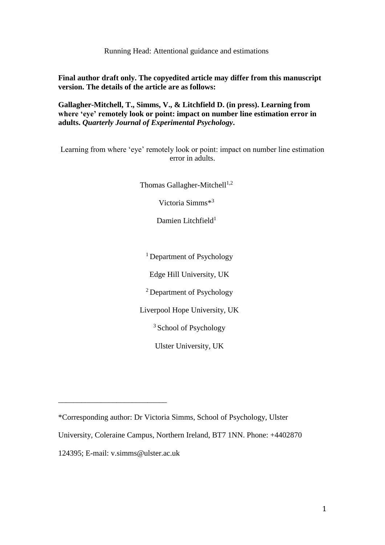Running Head: Attentional guidance and estimations

**Final author draft only. The copyedited article may differ from this manuscript version. The details of the article are as follows:** 

**Gallagher-Mitchell, T., Simms, V., & Litchfield D. (in press). Learning from where 'eye' remotely look or point: impact on number line estimation error in adults.** *Quarterly Journal of Experimental Psychology***.**

Learning from where 'eye' remotely look or point: impact on number line estimation error in adults.

Thomas Gallagher-Mitchell $1,2$ 

Victoria Simms\* 3

Damien Litchfield<sup>1</sup>

<sup>1</sup> Department of Psychology

Edge Hill University, UK

<sup>2</sup> Department of Psychology

Liverpool Hope University, UK

<sup>3</sup> School of Psychology

Ulster University, UK

\_\_\_\_\_\_\_\_\_\_\_\_\_\_\_\_\_\_\_\_\_\_\_\_\_\_\_\_

<sup>\*</sup>Corresponding author: Dr Victoria Simms, School of Psychology, Ulster

University, Coleraine Campus, Northern Ireland, BT7 1NN. Phone: +4402870

<sup>124395;</sup> E-mail: v.simms@ulster.ac.uk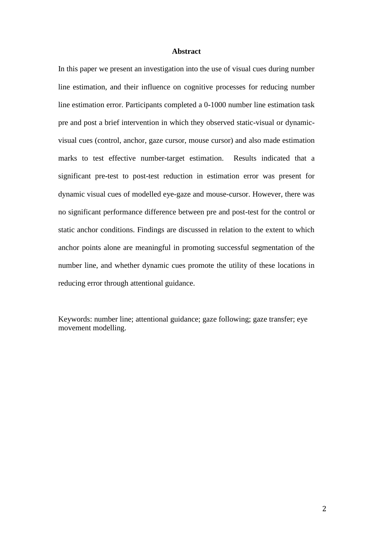# **Abstract**

In this paper we present an investigation into the use of visual cues during number line estimation, and their influence on cognitive processes for reducing number line estimation error. Participants completed a 0-1000 number line estimation task pre and post a brief intervention in which they observed static-visual or dynamicvisual cues (control, anchor, gaze cursor, mouse cursor) and also made estimation marks to test effective number-target estimation. Results indicated that a significant pre-test to post-test reduction in estimation error was present for dynamic visual cues of modelled eye-gaze and mouse-cursor. However, there was no significant performance difference between pre and post-test for the control or static anchor conditions. Findings are discussed in relation to the extent to which anchor points alone are meaningful in promoting successful segmentation of the number line, and whether dynamic cues promote the utility of these locations in reducing error through attentional guidance.

Keywords: number line; attentional guidance; gaze following; gaze transfer; eye movement modelling.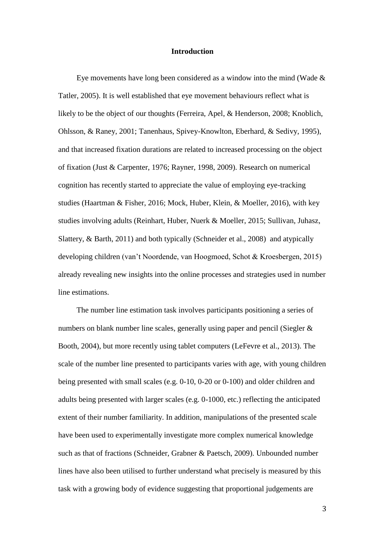# **Introduction**

Eye movements have long been considered as a window into the mind (Wade  $\&$ Tatler, 2005). It is well established that eye movement behaviours reflect what is likely to be the object of our thoughts (Ferreira, Apel, & Henderson, 2008; Knoblich, Ohlsson, & Raney, 2001; Tanenhaus, Spivey-Knowlton, Eberhard, & Sedivy, 1995), and that increased fixation durations are related to increased processing on the object of fixation (Just & Carpenter, 1976; Rayner, 1998, 2009). Research on numerical cognition has recently started to appreciate the value of employing eye-tracking studies (Haartman & Fisher, 2016; Mock, Huber, Klein, & Moeller, 2016), with key studies involving adults (Reinhart, Huber, Nuerk & Moeller, 2015; Sullivan, Juhasz, Slattery, & Barth, 2011) and both typically (Schneider et al., 2008) and atypically developing children (van't Noordende, van Hoogmoed, Schot & Kroesbergen, 2015) already revealing new insights into the online processes and strategies used in number line estimations.

The number line estimation task involves participants positioning a series of numbers on blank number line scales, generally using paper and pencil (Siegler & Booth, 2004), but more recently using tablet computers (LeFevre et al., 2013). The scale of the number line presented to participants varies with age, with young children being presented with small scales (e.g. 0-10, 0-20 or 0-100) and older children and adults being presented with larger scales (e.g. 0-1000, etc.) reflecting the anticipated extent of their number familiarity. In addition, manipulations of the presented scale have been used to experimentally investigate more complex numerical knowledge such as that of fractions (Schneider, Grabner & Paetsch, 2009). Unbounded number lines have also been utilised to further understand what precisely is measured by this task with a growing body of evidence suggesting that proportional judgements are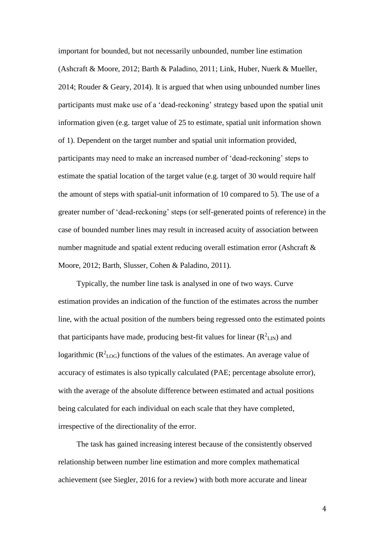important for bounded, but not necessarily unbounded, number line estimation (Ashcraft & Moore, 2012; Barth & Paladino, 2011; Link, Huber, Nuerk & Mueller, 2014; Rouder & Geary, 2014). It is argued that when using unbounded number lines participants must make use of a 'dead-reckoning' strategy based upon the spatial unit information given (e.g. target value of 25 to estimate, spatial unit information shown of 1). Dependent on the target number and spatial unit information provided, participants may need to make an increased number of 'dead-reckoning' steps to estimate the spatial location of the target value (e.g. target of 30 would require half the amount of steps with spatial-unit information of 10 compared to 5). The use of a greater number of 'dead-reckoning' steps (or self-generated points of reference) in the case of bounded number lines may result in increased acuity of association between number magnitude and spatial extent reducing overall estimation error (Ashcraft & Moore, 2012; Barth, Slusser, Cohen & Paladino, 2011).

Typically, the number line task is analysed in one of two ways. Curve estimation provides an indication of the function of the estimates across the number line, with the actual position of the numbers being regressed onto the estimated points that participants have made, producing best-fit values for linear  $(R^2L_N)$  and logarithmic ( $R^2$ <sub>LOG</sub>) functions of the values of the estimates. An average value of accuracy of estimates is also typically calculated (PAE; percentage absolute error), with the average of the absolute difference between estimated and actual positions being calculated for each individual on each scale that they have completed, irrespective of the directionality of the error.

The task has gained increasing interest because of the consistently observed relationship between number line estimation and more complex mathematical achievement (see Siegler, 2016 for a review) with both more accurate and linear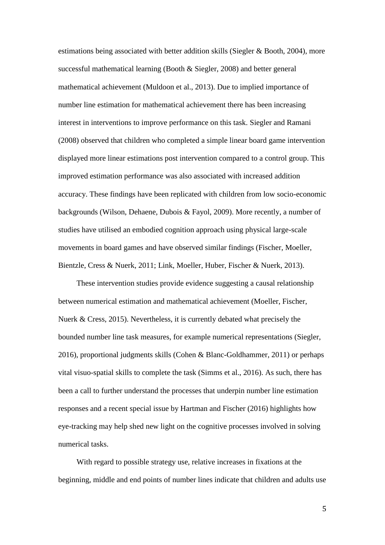estimations being associated with better addition skills (Siegler & Booth, 2004), more successful mathematical learning (Booth & Siegler, 2008) and better general mathematical achievement (Muldoon et al., 2013). Due to implied importance of number line estimation for mathematical achievement there has been increasing interest in interventions to improve performance on this task. Siegler and Ramani (2008) observed that children who completed a simple linear board game intervention displayed more linear estimations post intervention compared to a control group. This improved estimation performance was also associated with increased addition accuracy. These findings have been replicated with children from low socio-economic backgrounds (Wilson, Dehaene, Dubois & Fayol, 2009). More recently, a number of studies have utilised an embodied cognition approach using physical large-scale movements in board games and have observed similar findings (Fischer, Moeller, Bientzle, Cress & Nuerk, 2011; Link, Moeller, Huber, Fischer & Nuerk, 2013).

These intervention studies provide evidence suggesting a causal relationship between numerical estimation and mathematical achievement (Moeller, Fischer, Nuerk & Cress, 2015). Nevertheless, it is currently debated what precisely the bounded number line task measures, for example numerical representations (Siegler, 2016), proportional judgments skills (Cohen & Blanc-Goldhammer, 2011) or perhaps vital visuo-spatial skills to complete the task (Simms et al., 2016). As such, there has been a call to further understand the processes that underpin number line estimation responses and a recent special issue by Hartman and Fischer (2016) highlights how eye-tracking may help shed new light on the cognitive processes involved in solving numerical tasks.

With regard to possible strategy use, relative increases in fixations at the beginning, middle and end points of number lines indicate that children and adults use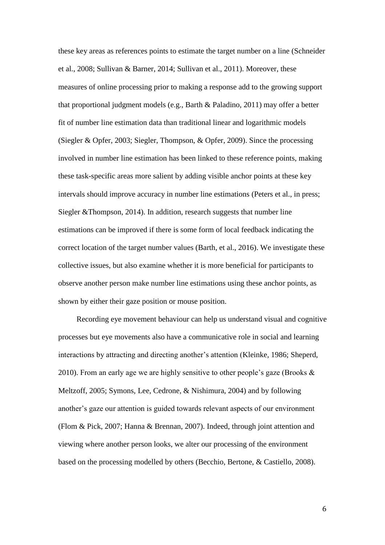these key areas as references points to estimate the target number on a line (Schneider et al., 2008; Sullivan & Barner, 2014; Sullivan et al., 2011). Moreover, these measures of online processing prior to making a response add to the growing support that proportional judgment models (e.g., Barth & Paladino, 2011) may offer a better fit of number line estimation data than traditional linear and logarithmic models (Siegler & Opfer, 2003; Siegler, Thompson, & Opfer, 2009). Since the processing involved in number line estimation has been linked to these reference points, making these task-specific areas more salient by adding visible anchor points at these key intervals should improve accuracy in number line estimations (Peters et al., in press; Siegler &Thompson, 2014). In addition, research suggests that number line estimations can be improved if there is some form of local feedback indicating the correct location of the target number values (Barth, et al., 2016). We investigate these collective issues, but also examine whether it is more beneficial for participants to observe another person make number line estimations using these anchor points, as shown by either their gaze position or mouse position.

Recording eye movement behaviour can help us understand visual and cognitive processes but eye movements also have a communicative role in social and learning interactions by attracting and directing another's attention (Kleinke, 1986; Sheperd, 2010). From an early age we are highly sensitive to other people's gaze (Brooks  $\&$ Meltzoff, 2005; Symons, Lee, Cedrone, & Nishimura, 2004) and by following another's gaze our attention is guided towards relevant aspects of our environment (Flom & Pick, 2007; Hanna & Brennan, 2007). Indeed, through joint attention and viewing where another person looks, we alter our processing of the environment based on the processing modelled by others (Becchio, Bertone, & Castiello, 2008).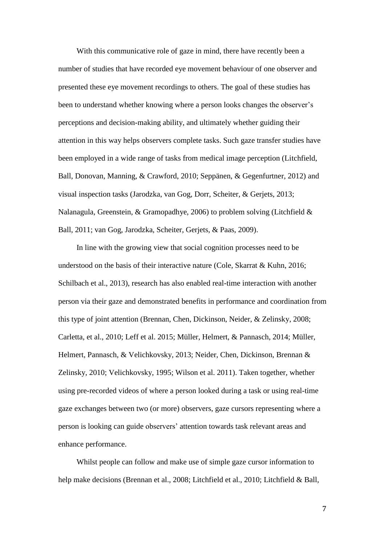With this communicative role of gaze in mind, there have recently been a number of studies that have recorded eye movement behaviour of one observer and presented these eye movement recordings to others. The goal of these studies has been to understand whether knowing where a person looks changes the observer's perceptions and decision-making ability, and ultimately whether guiding their attention in this way helps observers complete tasks. Such gaze transfer studies have been employed in a wide range of tasks from medical image perception (Litchfield, Ball, Donovan, Manning, & Crawford, 2010; Seppänen, & Gegenfurtner, 2012) and visual inspection tasks (Jarodzka, van Gog, Dorr, Scheiter, & Gerjets, 2013; Nalanagula, Greenstein, & Gramopadhye, 2006) to problem solving (Litchfield & Ball, 2011; van Gog, Jarodzka, Scheiter, Gerjets, & Paas, 2009).

In line with the growing view that social cognition processes need to be understood on the basis of their interactive nature (Cole, Skarrat & Kuhn, 2016; Schilbach et al., 2013), research has also enabled real-time interaction with another person via their gaze and demonstrated benefits in performance and coordination from this type of joint attention (Brennan, Chen, Dickinson, Neider, & Zelinsky, 2008; Carletta, et al., 2010; Leff et al. 2015; Müller, Helmert, & Pannasch, 2014; Müller, Helmert, Pannasch, & Velichkovsky, 2013; Neider, Chen, Dickinson, Brennan & Zelinsky, 2010; Velichkovsky, 1995; Wilson et al. 2011). Taken together, whether using pre-recorded videos of where a person looked during a task or using real-time gaze exchanges between two (or more) observers, gaze cursors representing where a person is looking can guide observers' attention towards task relevant areas and enhance performance.

Whilst people can follow and make use of simple gaze cursor information to help make decisions (Brennan et al., 2008; Litchfield et al., 2010; Litchfield & Ball,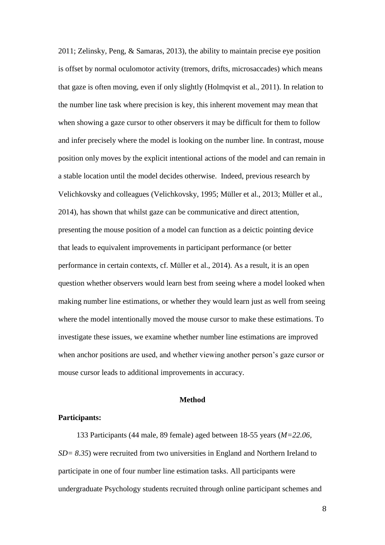2011; Zelinsky, Peng, & Samaras, 2013), the ability to maintain precise eye position is offset by normal oculomotor activity (tremors, drifts, microsaccades) which means that gaze is often moving, even if only slightly (Holmqvist et al., 2011). In relation to the number line task where precision is key, this inherent movement may mean that when showing a gaze cursor to other observers it may be difficult for them to follow and infer precisely where the model is looking on the number line. In contrast, mouse position only moves by the explicit intentional actions of the model and can remain in a stable location until the model decides otherwise. Indeed, previous research by Velichkovsky and colleagues (Velichkovsky, 1995; Müller et al., 2013; Müller et al., 2014), has shown that whilst gaze can be communicative and direct attention, presenting the mouse position of a model can function as a deictic pointing device that leads to equivalent improvements in participant performance (or better performance in certain contexts, cf. Müller et al., 2014). As a result, it is an open question whether observers would learn best from seeing where a model looked when making number line estimations, or whether they would learn just as well from seeing where the model intentionally moved the mouse cursor to make these estimations. To investigate these issues, we examine whether number line estimations are improved when anchor positions are used, and whether viewing another person's gaze cursor or mouse cursor leads to additional improvements in accuracy.

# **Method**

### **Participants:**

133 Participants (44 male, 89 female) aged between 18-55 years (*M=22.06, SD= 8.35*) were recruited from two universities in England and Northern Ireland to participate in one of four number line estimation tasks. All participants were undergraduate Psychology students recruited through online participant schemes and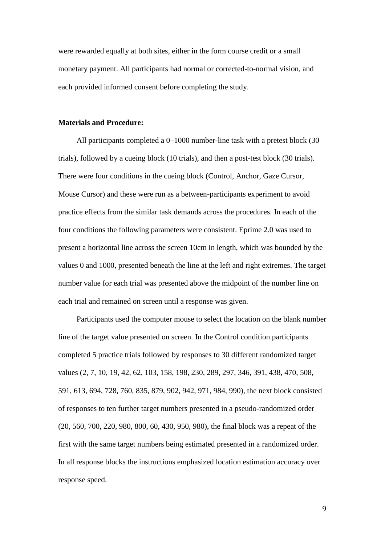were rewarded equally at both sites, either in the form course credit or a small monetary payment. All participants had normal or corrected-to-normal vision, and each provided informed consent before completing the study.

### **Materials and Procedure:**

All participants completed a 0–1000 number-line task with a pretest block (30 trials), followed by a cueing block (10 trials), and then a post-test block (30 trials). There were four conditions in the cueing block (Control, Anchor, Gaze Cursor, Mouse Cursor) and these were run as a between-participants experiment to avoid practice effects from the similar task demands across the procedures. In each of the four conditions the following parameters were consistent. Eprime 2.0 was used to present a horizontal line across the screen 10cm in length, which was bounded by the values 0 and 1000, presented beneath the line at the left and right extremes. The target number value for each trial was presented above the midpoint of the number line on each trial and remained on screen until a response was given.

Participants used the computer mouse to select the location on the blank number line of the target value presented on screen. In the Control condition participants completed 5 practice trials followed by responses to 30 different randomized target values (2, 7, 10, 19, 42, 62, 103, 158, 198, 230, 289, 297, 346, 391, 438, 470, 508, 591, 613, 694, 728, 760, 835, 879, 902, 942, 971, 984, 990), the next block consisted of responses to ten further target numbers presented in a pseudo-randomized order (20, 560, 700, 220, 980, 800, 60, 430, 950, 980), the final block was a repeat of the first with the same target numbers being estimated presented in a randomized order. In all response blocks the instructions emphasized location estimation accuracy over response speed.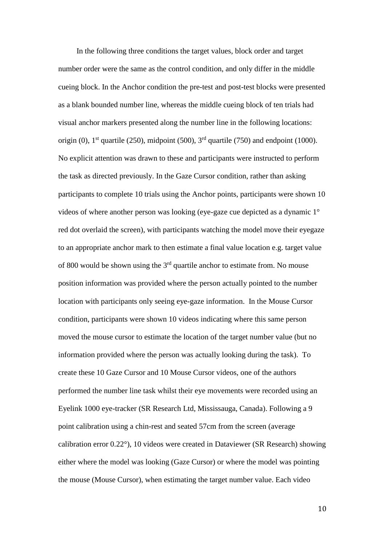In the following three conditions the target values, block order and target number order were the same as the control condition, and only differ in the middle cueing block. In the Anchor condition the pre-test and post-test blocks were presented as a blank bounded number line, whereas the middle cueing block of ten trials had visual anchor markers presented along the number line in the following locations: origin (0),  $1<sup>st</sup>$  quartile (250), midpoint (500),  $3<sup>rd</sup>$  quartile (750) and endpoint (1000). No explicit attention was drawn to these and participants were instructed to perform the task as directed previously. In the Gaze Cursor condition, rather than asking participants to complete 10 trials using the Anchor points, participants were shown 10 videos of where another person was looking (eye-gaze cue depicted as a dynamic 1° red dot overlaid the screen), with participants watching the model move their eyegaze to an appropriate anchor mark to then estimate a final value location e.g. target value of 800 would be shown using the  $3<sup>rd</sup>$  quartile anchor to estimate from. No mouse position information was provided where the person actually pointed to the number location with participants only seeing eye-gaze information. In the Mouse Cursor condition, participants were shown 10 videos indicating where this same person moved the mouse cursor to estimate the location of the target number value (but no information provided where the person was actually looking during the task). To create these 10 Gaze Cursor and 10 Mouse Cursor videos, one of the authors performed the number line task whilst their eye movements were recorded using an Eyelink 1000 eye-tracker (SR Research Ltd, Mississauga, Canada). Following a 9 point calibration using a chin-rest and seated 57cm from the screen (average calibration error 0.22°), 10 videos were created in Dataviewer (SR Research) showing either where the model was looking (Gaze Cursor) or where the model was pointing the mouse (Mouse Cursor), when estimating the target number value. Each video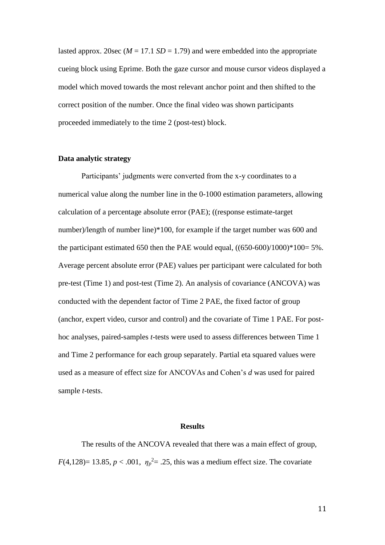lasted approx. 20sec ( $M = 17.1$  *SD* = 1.79) and were embedded into the appropriate cueing block using Eprime. Both the gaze cursor and mouse cursor videos displayed a model which moved towards the most relevant anchor point and then shifted to the correct position of the number. Once the final video was shown participants proceeded immediately to the time 2 (post-test) block.

# **Data analytic strategy**

Participants' judgments were converted from the x-y coordinates to a numerical value along the number line in the 0-1000 estimation parameters, allowing calculation of a percentage absolute error (PAE); ((response estimate-target number)/length of number line)\*100, for example if the target number was 600 and the participant estimated 650 then the PAE would equal, ((650-600)/1000)\*100= 5%. Average percent absolute error (PAE) values per participant were calculated for both pre-test (Time 1) and post-test (Time 2). An analysis of covariance (ANCOVA) was conducted with the dependent factor of Time 2 PAE, the fixed factor of group (anchor, expert video, cursor and control) and the covariate of Time 1 PAE. For posthoc analyses, paired-samples *t*-tests were used to assess differences between Time 1 and Time 2 performance for each group separately. Partial eta squared values were used as a measure of effect size for ANCOVAs and Cohen's *d* was used for paired sample *t*-tests.

### **Results**

The results of the ANCOVA revealed that there was a main effect of group,  $F(4,128)=13.85, p<.001, \eta_p^2=.25$ , this was a medium effect size. The covariate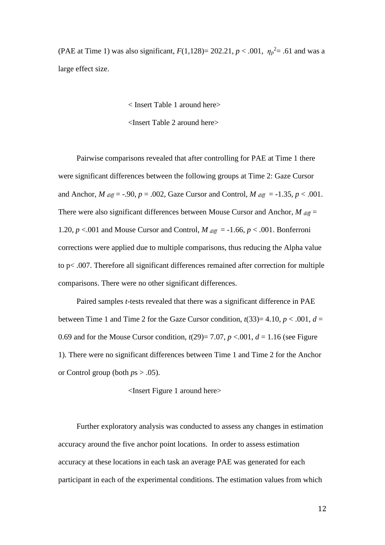(PAE at Time 1) was also significant,  $F(1,128) = 202.21, p < .001, \eta_p^2 = .61$  and was a large effect size.

< Insert Table 1 around here>

<Insert Table 2 around here>

Pairwise comparisons revealed that after controlling for PAE at Time 1 there were significant differences between the following groups at Time 2: Gaze Cursor and Anchor,  $M_{diff} = -.90$ ,  $p = .002$ , Gaze Cursor and Control,  $M_{diff} = -1.35$ ,  $p < .001$ . There were also significant differences between Mouse Cursor and Anchor,  $M_{\text{diff}} =$ 1.20,  $p < .001$  and Mouse Cursor and Control,  $M_{diff} = -1.66$ ,  $p < .001$ . Bonferroni corrections were applied due to multiple comparisons, thus reducing the Alpha value to p< .007. Therefore all significant differences remained after correction for multiple comparisons. There were no other significant differences.

Paired samples *t*-tests revealed that there was a significant difference in PAE between Time 1 and Time 2 for the Gaze Cursor condition,  $t(33)=4.10, p < .001, d =$ 0.69 and for the Mouse Cursor condition,  $t(29) = 7.07$ ,  $p < 0.01$ ,  $d = 1.16$  (see Figure 1). There were no significant differences between Time 1 and Time 2 for the Anchor or Control group (both *p*s > .05).

<Insert Figure 1 around here>

Further exploratory analysis was conducted to assess any changes in estimation accuracy around the five anchor point locations. In order to assess estimation accuracy at these locations in each task an average PAE was generated for each participant in each of the experimental conditions. The estimation values from which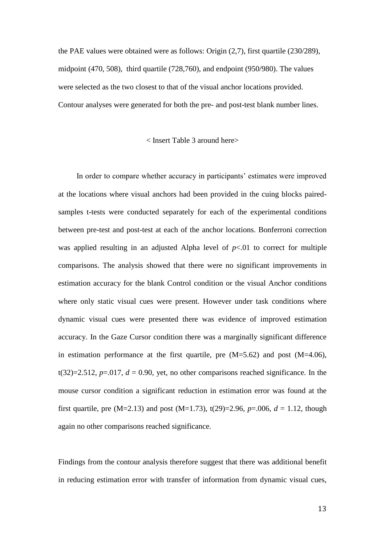the PAE values were obtained were as follows: Origin (2,7), first quartile (230/289), midpoint (470, 508), third quartile (728,760), and endpoint (950/980). The values were selected as the two closest to that of the visual anchor locations provided. Contour analyses were generated for both the pre- and post-test blank number lines.

# < Insert Table 3 around here>

In order to compare whether accuracy in participants' estimates were improved at the locations where visual anchors had been provided in the cuing blocks pairedsamples t-tests were conducted separately for each of the experimental conditions between pre-test and post-test at each of the anchor locations. Bonferroni correction was applied resulting in an adjusted Alpha level of  $p<0$  to correct for multiple comparisons. The analysis showed that there were no significant improvements in estimation accuracy for the blank Control condition or the visual Anchor conditions where only static visual cues were present. However under task conditions where dynamic visual cues were presented there was evidence of improved estimation accuracy. In the Gaze Cursor condition there was a marginally significant difference in estimation performance at the first quartile, pre  $(M=5.62)$  and post  $(M=4.06)$ , t(32)=2.512,  $p=.017$ ,  $d = 0.90$ , yet, no other comparisons reached significance. In the mouse cursor condition a significant reduction in estimation error was found at the first quartile, pre  $(M=2.13)$  and post  $(M=1.73)$ ,  $t(29)=2.96$ ,  $p=.006$ ,  $d=1.12$ , though again no other comparisons reached significance.

Findings from the contour analysis therefore suggest that there was additional benefit in reducing estimation error with transfer of information from dynamic visual cues,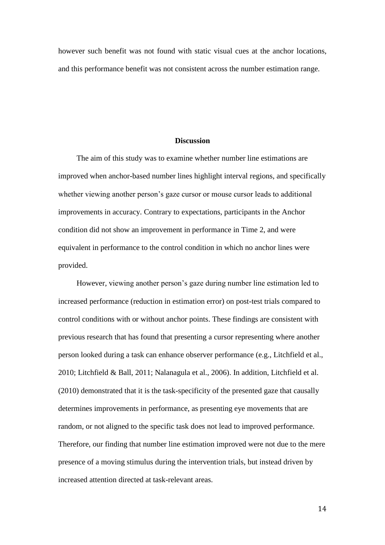however such benefit was not found with static visual cues at the anchor locations, and this performance benefit was not consistent across the number estimation range.

# **Discussion**

The aim of this study was to examine whether number line estimations are improved when anchor-based number lines highlight interval regions, and specifically whether viewing another person's gaze cursor or mouse cursor leads to additional improvements in accuracy. Contrary to expectations, participants in the Anchor condition did not show an improvement in performance in Time 2, and were equivalent in performance to the control condition in which no anchor lines were provided.

However, viewing another person's gaze during number line estimation led to increased performance (reduction in estimation error) on post-test trials compared to control conditions with or without anchor points. These findings are consistent with previous research that has found that presenting a cursor representing where another person looked during a task can enhance observer performance (e.g., Litchfield et al., 2010; Litchfield & Ball, 2011; Nalanagula et al., 2006). In addition, Litchfield et al. (2010) demonstrated that it is the task-specificity of the presented gaze that causally determines improvements in performance, as presenting eye movements that are random, or not aligned to the specific task does not lead to improved performance. Therefore, our finding that number line estimation improved were not due to the mere presence of a moving stimulus during the intervention trials, but instead driven by increased attention directed at task-relevant areas.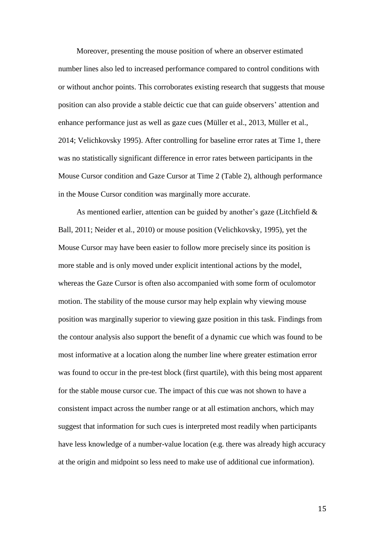Moreover, presenting the mouse position of where an observer estimated number lines also led to increased performance compared to control conditions with or without anchor points. This corroborates existing research that suggests that mouse position can also provide a stable deictic cue that can guide observers' attention and enhance performance just as well as gaze cues (Müller et al., 2013, Müller et al., 2014; Velichkovsky 1995). After controlling for baseline error rates at Time 1, there was no statistically significant difference in error rates between participants in the Mouse Cursor condition and Gaze Cursor at Time 2 (Table 2), although performance in the Mouse Cursor condition was marginally more accurate.

As mentioned earlier, attention can be guided by another's gaze (Litchfield & Ball, 2011; Neider et al., 2010) or mouse position (Velichkovsky, 1995), yet the Mouse Cursor may have been easier to follow more precisely since its position is more stable and is only moved under explicit intentional actions by the model, whereas the Gaze Cursor is often also accompanied with some form of oculomotor motion. The stability of the mouse cursor may help explain why viewing mouse position was marginally superior to viewing gaze position in this task. Findings from the contour analysis also support the benefit of a dynamic cue which was found to be most informative at a location along the number line where greater estimation error was found to occur in the pre-test block (first quartile), with this being most apparent for the stable mouse cursor cue. The impact of this cue was not shown to have a consistent impact across the number range or at all estimation anchors, which may suggest that information for such cues is interpreted most readily when participants have less knowledge of a number-value location (e.g. there was already high accuracy at the origin and midpoint so less need to make use of additional cue information).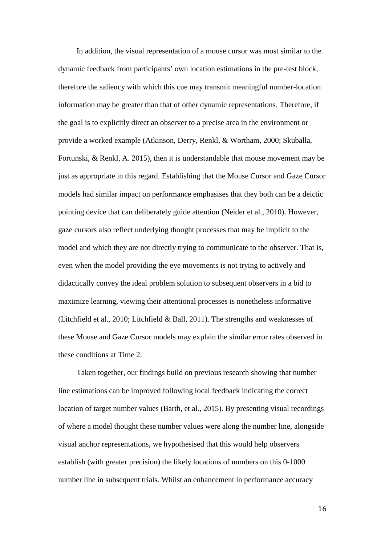In addition, the visual representation of a mouse cursor was most similar to the dynamic feedback from participants' own location estimations in the pre-test block, therefore the saliency with which this cue may transmit meaningful number-location information may be greater than that of other dynamic representations. Therefore, if the goal is to explicitly direct an observer to a precise area in the environment or provide a worked example (Atkinson, Derry, Renkl, & Wortham, 2000; Skuballa, Fortunski, & Renkl, A. 2015), then it is understandable that mouse movement may be just as appropriate in this regard. Establishing that the Mouse Cursor and Gaze Cursor models had similar impact on performance emphasises that they both can be a deictic pointing device that can deliberately guide attention (Neider et al., 2010). However, gaze cursors also reflect underlying thought processes that may be implicit to the model and which they are not directly trying to communicate to the observer. That is, even when the model providing the eye movements is not trying to actively and didactically convey the ideal problem solution to subsequent observers in a bid to maximize learning, viewing their attentional processes is nonetheless informative (Litchfield et al., 2010; Litchfield & Ball, 2011). The strengths and weaknesses of these Mouse and Gaze Cursor models may explain the similar error rates observed in these conditions at Time 2.

Taken together, our findings build on previous research showing that number line estimations can be improved following local feedback indicating the correct location of target number values (Barth, et al., 2015). By presenting visual recordings of where a model thought these number values were along the number line, alongside visual anchor representations, we hypothesised that this would help observers establish (with greater precision) the likely locations of numbers on this 0-1000 number line in subsequent trials. Whilst an enhancement in performance accuracy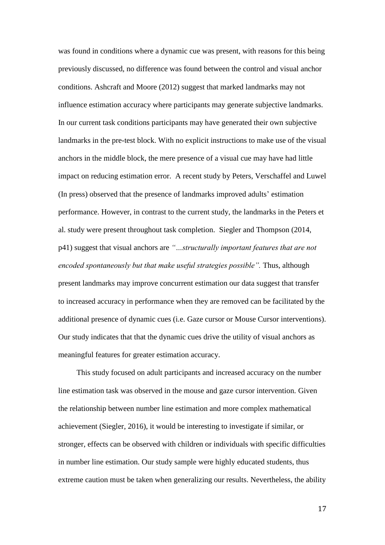was found in conditions where a dynamic cue was present, with reasons for this being previously discussed, no difference was found between the control and visual anchor conditions. Ashcraft and Moore (2012) suggest that marked landmarks may not influence estimation accuracy where participants may generate subjective landmarks. In our current task conditions participants may have generated their own subjective landmarks in the pre-test block. With no explicit instructions to make use of the visual anchors in the middle block, the mere presence of a visual cue may have had little impact on reducing estimation error. A recent study by Peters, Verschaffel and Luwel (In press) observed that the presence of landmarks improved adults' estimation performance. However, in contrast to the current study, the landmarks in the Peters et al. study were present throughout task completion. Siegler and Thompson (2014, p41) suggest that visual anchors are *"…structurally important features that are not encoded spontaneously but that make useful strategies possible".* Thus, although present landmarks may improve concurrent estimation our data suggest that transfer to increased accuracy in performance when they are removed can be facilitated by the additional presence of dynamic cues (i.e. Gaze cursor or Mouse Cursor interventions). Our study indicates that that the dynamic cues drive the utility of visual anchors as meaningful features for greater estimation accuracy.

This study focused on adult participants and increased accuracy on the number line estimation task was observed in the mouse and gaze cursor intervention. Given the relationship between number line estimation and more complex mathematical achievement (Siegler, 2016), it would be interesting to investigate if similar, or stronger, effects can be observed with children or individuals with specific difficulties in number line estimation. Our study sample were highly educated students, thus extreme caution must be taken when generalizing our results. Nevertheless, the ability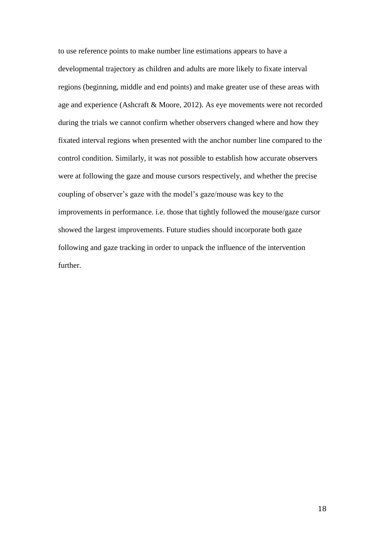to use reference points to make number line estimations appears to have a developmental trajectory as children and adults are more likely to fixate interval regions (beginning, middle and end points) and make greater use of these areas with age and experience (Ashcraft & Moore, 2012). As eye movements were not recorded during the trials we cannot confirm whether observers changed where and how they fixated interval regions when presented with the anchor number line compared to the control condition. Similarly, it was not possible to establish how accurate observers were at following the gaze and mouse cursors respectively, and whether the precise coupling of observer's gaze with the model's gaze/mouse was key to the improvements in performance. i.e. those that tightly followed the mouse/gaze cursor showed the largest improvements. Future studies should incorporate both gaze following and gaze tracking in order to unpack the influence of the intervention further.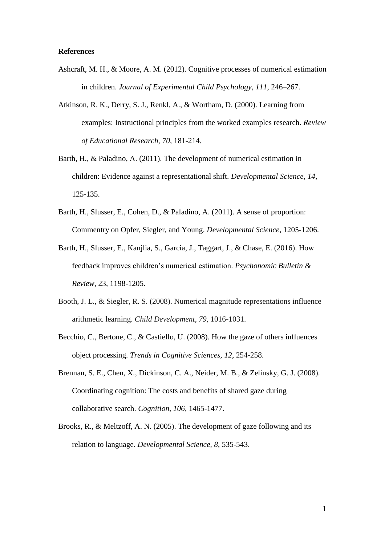## **References**

- Ashcraft, M. H., & Moore, A. M. (2012). Cognitive processes of numerical estimation in children. *Journal of Experimental Child Psychology, 111*, 246–267.
- Atkinson, R. K., Derry, S. J., Renkl, A., & Wortham, D. (2000). Learning from examples: Instructional principles from the worked examples research. *Review of Educational Research, 70*, 181-214.
- Barth, H., & Paladino, A. (2011). The development of numerical estimation in children: Evidence against a representational shift. *Developmental Science, 14*, 125-135.
- Barth, H., Slusser, E., Cohen, D., & Paladino, A. (2011). A sense of proportion: Commentry on Opfer, Siegler, and Young. *Developmental Science*, 1205-1206.
- Barth, H., Slusser, E., Kanjlia, S., Garcia, J., Taggart, J., & Chase, E. (2016). How feedback improves children's numerical estimation. *Psychonomic Bulletin & Review*, 23, 1198-1205.
- Booth, J. L., & Siegler, R. S. (2008). Numerical magnitude representations influence arithmetic learning. *Child Development, 79*, 1016-1031.
- Becchio, C., Bertone, C., & Castiello, U. (2008). How the gaze of others influences object processing. *Trends in Cognitive Sciences, 12*, 254-258.
- Brennan, S. E., Chen, X., Dickinson, C. A., Neider, M. B., & Zelinsky, G. J. (2008). Coordinating cognition: The costs and benefits of shared gaze during collaborative search. *Cognition, 106*, 1465-1477.
- Brooks, R., & Meltzoff, A. N. (2005). The development of gaze following and its relation to language. *Developmental Science, 8*, 535-543.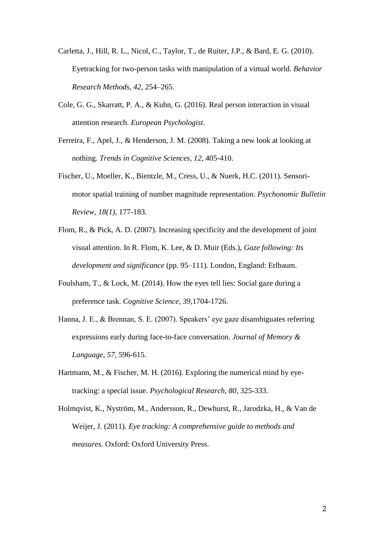- Carletta, J., Hill, R. L., Nicol, C., Taylor, T., de Ruiter, J.P., & Bard, E. G. (2010). Eyetracking for two-person tasks with manipulation of a virtual world. *Behavior Research Methods, 42*, 254–265.
- Cole, G. G., Skarratt, P. A., & Kuhn, G. (2016). Real person interaction in visual attention research. *European Psychologist*.
- Ferreira, F., Apel, J., & Henderson, J. M. (2008). Taking a new look at looking at nothing. *Trends in Cognitive Sciences, 12*, 405-410.
- Fischer, U., Moeller, K., Bientzle, M., Cress, U., & Nuerk, H.C. (2011). Sensorimotor spatial training of number magnitude representation. *Psychonomic Bulletin Review, 18(1),* 177-183.
- Flom, R., & Pick, A. D. (2007). Increasing specificity and the development of joint visual attention. In R. Flom, K. Lee, & D. Muir (Eds.), *Gaze following: Its development and significance* (pp. 95–111). London, England: Erlbaum.
- Foulsham, T., & Lock, M. (2014). How the eyes tell lies: Social gaze during a preference task. *Cognitive Science, 39*,1704-1726.
- Hanna, J. E., & Brennan, S. E. (2007). Speakers' eye gaze disambiguates referring expressions early during face-to-face conversation. *Journal of Memory & Language, 57*, 596-615.
- Hartmann, M., & Fischer, M. H. (2016). Exploring the numerical mind by eyetracking: a special issue. *Psychological Research, 80*, 325-333.
- Holmqvist, K., Nyström, M., Andersson, R., Dewhurst, R., Jarodzka, H., & Van de Weijer, J. (2011). *Eye tracking: A comprehensive guide to methods and measures*. Oxford: Oxford University Press.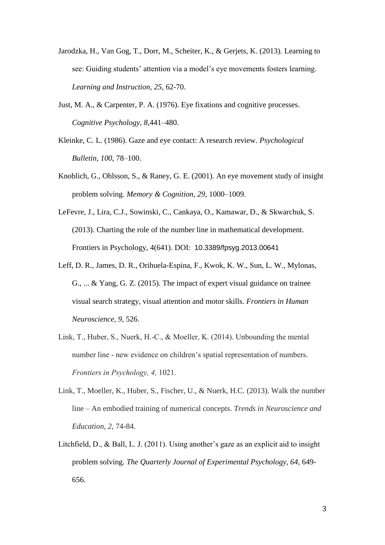- Jarodzka, H., Van Gog, T., Dorr, M., Scheiter, K., & Gerjets, K. (2013). Learning to see: Guiding students' attention via a model's eye movements fosters learning. *Learning and Instruction, 25*, 62-70.
- Just, M. A., & Carpenter, P. A. (1976). Eye fixations and cognitive processes. *Cognitive Psychology, 8*,441–480.
- Kleinke, C. L. (1986). Gaze and eye contact: A research review. *Psychological Bulletin, 100*, 78–100.
- Knoblich, G., Ohlsson, S., & Raney, G. E. (2001). An eye movement study of insight problem solving. *Memory & Cognition, 29*, 1000–1009.
- LeFevre, J., Lira, C.J., Sowinski, C., Cankaya, O., Kamawar, D., & Skwarchuk, S. (2013). Charting the role of the number line in mathematical development. Frontiers in Psychology, 4(641). DOI: 10.3389/fpsyg.2013.00641
- Leff, D. R., James, D. R., Orihuela-Espina, F., Kwok, K. W., Sun, L. W., Mylonas, G., ... & Yang, G. Z. (2015). The impact of expert visual guidance on trainee visual search strategy, visual attention and motor skills. *Frontiers in Human Neuroscience, 9*, 526.
- Link, T., Huber, S., Nuerk, H.-C., & Moeller, K. (2014). Unbounding the mental number line - new evidence on children's spatial representation of numbers. *Frontiers in Psychology, 4,* 1021.
- Link, T., Moeller, K., Huber, S., Fischer, U., & Nuerk, H.C. (2013). Walk the number line – An embodied training of numerical concepts. *Trends in Neuroscience and Education, 2*, 74-84.
- Litchfield, D., & Ball, L. J. (2011). Using another's gaze as an explicit aid to insight problem solving. *The Quarterly Journal of Experimental Psychology, 64*, 649- 656.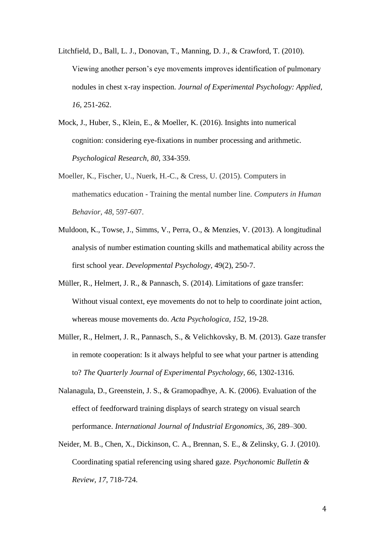- Litchfield, D., Ball, L. J., Donovan, T., Manning, D. J., & Crawford, T. (2010). Viewing another person's eye movements improves identification of pulmonary nodules in chest x-ray inspection. *Journal of Experimental Psychology: Applied, 16*, 251-262.
- Mock, J., Huber, S., Klein, E., & Moeller, K. (2016). Insights into numerical cognition: considering eye-fixations in number processing and arithmetic. *Psychological Research, 80*, 334-359.
- Moeller, K., Fischer, U., Nuerk, H.-C., & Cress, U. (2015). Computers in mathematics education - Training the mental number line. *Computers in Human Behavior, 48*, 597-607.
- Muldoon, K., Towse, J., Simms, V., Perra, O., & Menzies, V. (2013). A longitudinal analysis of number estimation counting skills and mathematical ability across the first school year. *Developmental Psychology,* 49(2), 250-7.
- Müller, R., Helmert, J. R., & Pannasch, S. (2014). Limitations of gaze transfer: Without visual context, eye movements do not to help to coordinate joint action, whereas mouse movements do. *Acta Psychologica, 152*, 19-28.
- Müller, R., Helmert, J. R., Pannasch, S., & Velichkovsky, B. M. (2013). Gaze transfer in remote cooperation: Is it always helpful to see what your partner is attending to? *The Quarterly Journal of Experimental Psychology, 66*, 1302-1316.
- Nalanagula, D., Greenstein, J. S., & Gramopadhye, A. K. (2006). Evaluation of the effect of feedforward training displays of search strategy on visual search performance. *International Journal of Industrial Ergonomics, 36*, 289–300.
- Neider, M. B., Chen, X., Dickinson, C. A., Brennan, S. E., & Zelinsky, G. J. (2010). Coordinating spatial referencing using shared gaze. *Psychonomic Bulletin & Review, 17*, 718-724.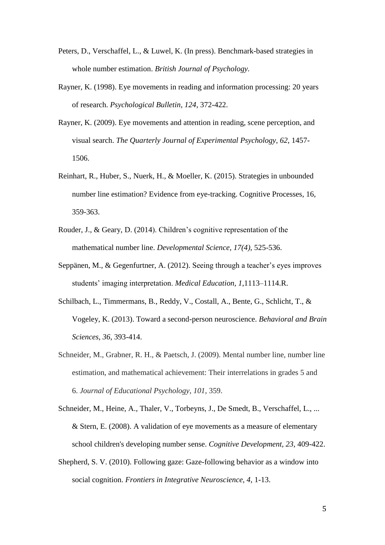- Peters, D., Verschaffel, L., & Luwel, K. (In press). Benchmark-based strategies in whole number estimation. *British Journal of Psychology.*
- Rayner, K. (1998). Eye movements in reading and information processing: 20 years of research. *Psychological Bulletin, 124*, 372-422.
- Rayner, K. (2009). Eye movements and attention in reading, scene perception, and visual search. *The Quarterly Journal of Experimental Psychology, 62*, 1457- 1506.
- Reinhart, R., Huber, S., Nuerk, H., & Moeller, K. (2015). Strategies in unbounded number line estimation? Evidence from eye-tracking. Cognitive Processes, 16, 359-363.
- Rouder, J., & Geary, D. (2014). Children's cognitive representation of the mathematical number line. *Developmental Science, 17(4),* 525-536.
- Seppänen, M., & Gegenfurtner, A. (2012). Seeing through a teacher's eyes improves students' imaging interpretation. *Medical Education, 1*,1113–1114.R.
- Schilbach, L., Timmermans, B., Reddy, V., Costall, A., Bente, G., Schlicht, T., & Vogeley, K. (2013). Toward a second-person neuroscience. *Behavioral and Brain Sciences, 36*, 393-414.
- Schneider, M., Grabner, R. H., & Paetsch, J. (2009). Mental number line, number line estimation, and mathematical achievement: Their interrelations in grades 5 and 6. *Journal of Educational Psychology*, *101*, 359.
- Schneider, M., Heine, A., Thaler, V., Torbeyns, J., De Smedt, B., Verschaffel, L., ... & Stern, E. (2008). A validation of eye movements as a measure of elementary school children's developing number sense. *Cognitive Development, 23*, 409-422.
- Shepherd, S. V. (2010). Following gaze: Gaze-following behavior as a window into social cognition. *Frontiers in Integrative Neuroscience, 4*, 1-13.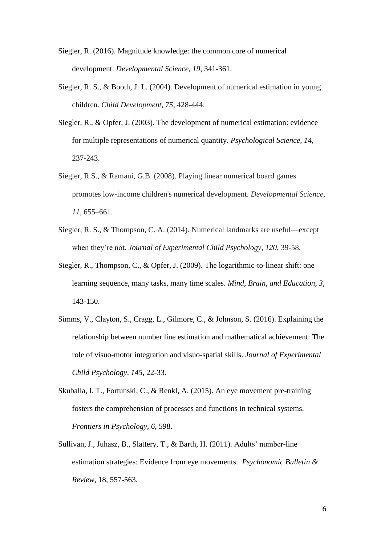Siegler, R. (2016). Magnitude knowledge: the common core of numerical development. *Developmental Science, 19*, 341-361.

- Siegler, R. S., & Booth, J. L. (2004). Development of numerical estimation in young children. *Child Development, 75*, 428-444.
- Siegler, R., & Opfer, J. (2003). The development of numerical estimation: evidence for multiple representations of numerical quantity. *Psychological Science, 14*, 237-243.
- Siegler, R.S., & Ramani, G.B. (2008). Playing linear numerical board games promotes low-income children's numerical development. *Developmental Science*, *11,* 655–661.
- Siegler, R. S., & Thompson, C. A. (2014). Numerical landmarks are useful—except when they're not. *Journal of Experimental Child Psychology*, *120*, 39-58.
- Siegler, R., Thompson, C., & Opfer, J. (2009). The logarithmic-to-linear shift: one learning sequence, many tasks, many time scales. *Mind, Brain, and Education, 3*, 143-150.
- Simms, V., Clayton, S., Cragg, L., Gilmore, C., & Johnson, S. (2016). [Explaining the](http://uir.ulster.ac.uk/33024)  [relationship between number line estimation and mathematical achievement: The](http://uir.ulster.ac.uk/33024)  [role of visuo-motor integration and visuo-spatial skills.](http://uir.ulster.ac.uk/33024) *Journal of Experimental Child Psychology, 145,* 22-33.
- Skuballa, I. T., Fortunski, C., & Renkl, A. (2015). An eye movement pre-training fosters the comprehension of processes and functions in technical systems. *Frontiers in Psychology, 6*, 598.
- Sullivan, J., Juhasz, B., Slattery, T., & Barth, H. (2011). Adults' number-line estimation strategies: Evidence from eye movements. *Psychonomic Bulletin & Review*, 18, 557-563.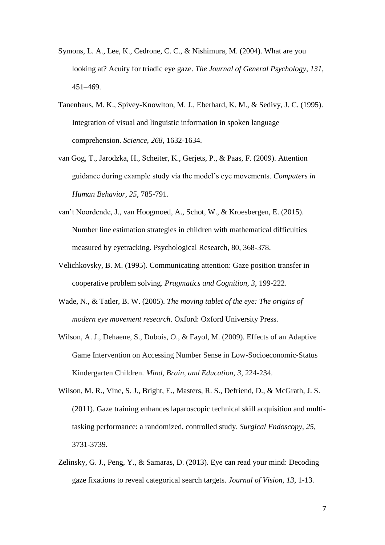- Symons, L. A., Lee, K., Cedrone, C. C., & Nishimura, M. (2004). What are you looking at? Acuity for triadic eye gaze. *The Journal of General Psychology, 131*, 451–469.
- Tanenhaus, M. K., Spivey-Knowlton, M. J., Eberhard, K. M., & Sedivy, J. C. (1995). Integration of visual and linguistic information in spoken language comprehension. *Science, 268*, 1632-1634.
- van Gog, T., Jarodzka, H., Scheiter, K., Gerjets, P., & Paas, F. (2009). Attention guidance during example study via the model's eye movements. *Computers in Human Behavior, 25*, 785-791.
- van't Noordende, J., van Hoogmoed, A., Schot, W., & Kroesbergen, E. (2015). Number line estimation strategies in children with mathematical difficulties measured by eyetracking. Psychological Research, 80, 368-378.
- Velichkovsky, B. M. (1995). Communicating attention: Gaze position transfer in cooperative problem solving. *Pragmatics and Cognition, 3*, 199-222.
- Wade, N., & Tatler, B. W. (2005). *The moving tablet of the eye: The origins of modern eye movement research*. Oxford: Oxford University Press.
- Wilson, A. J., Dehaene, S., Dubois, O., & Fayol, M. (2009). Effects of an Adaptive Game Intervention on Accessing Number Sense in Low‐Socioeconomic‐Status Kindergarten Children. *Mind, Brain, and Education, 3*, 224-234.
- Wilson, M. R., Vine, S. J., Bright, E., Masters, R. S., Defriend, D., & McGrath, J. S. (2011). Gaze training enhances laparoscopic technical skill acquisition and multitasking performance: a randomized, controlled study. *Surgical Endoscopy, 25*, 3731-3739.
- Zelinsky, G. J., Peng, Y., & Samaras, D. (2013). Eye can read your mind: Decoding gaze fixations to reveal categorical search targets. *Journal of Vision, 13*, 1-13.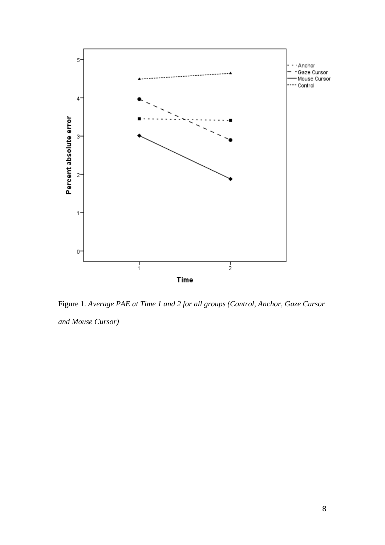

Figure 1. *Average PAE at Time 1 and 2 for all groups (Control, Anchor, Gaze Cursor and Mouse Cursor)*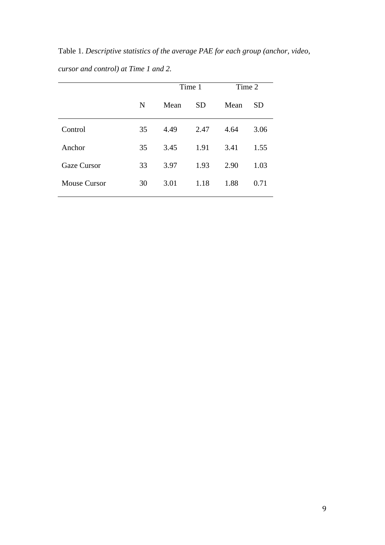Table 1. *Descriptive statistics of the average PAE for each group (anchor, video, cursor and control) at Time 1 and 2.*

|                     |    | Time 1 |           | Time 2 |           |  |
|---------------------|----|--------|-----------|--------|-----------|--|
|                     | N  | Mean   | <b>SD</b> | Mean   | <b>SD</b> |  |
| Control             | 35 | 4.49   | 2.47      | 4.64   | 3.06      |  |
| Anchor              | 35 | 3.45   | 1.91      | 3.41   | 1.55      |  |
| <b>Gaze Cursor</b>  | 33 | 3.97   | 1.93      | 2.90   | 1.03      |  |
| <b>Mouse Cursor</b> | 30 | 3.01   | 1.18      | 1.88   | 0.71      |  |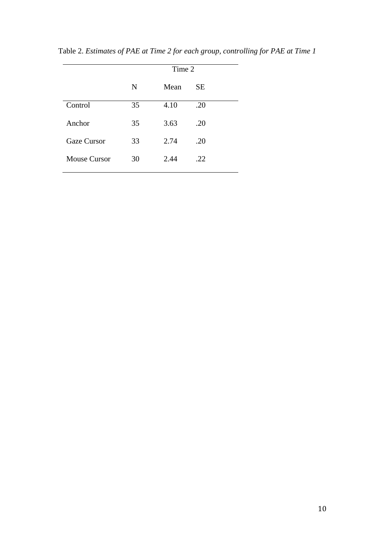| Time 2 |      |     |  |  |  |
|--------|------|-----|--|--|--|
| N      | Mean | SE. |  |  |  |
| 35     | 4.10 | .20 |  |  |  |
| 35     | 3.63 | .20 |  |  |  |
| 33     | 2.74 | .20 |  |  |  |
| 30     | 2.44 | .22 |  |  |  |
|        |      |     |  |  |  |

Table 2. *Estimates of PAE at Time 2 for each group, controlling for PAE at Time 1*